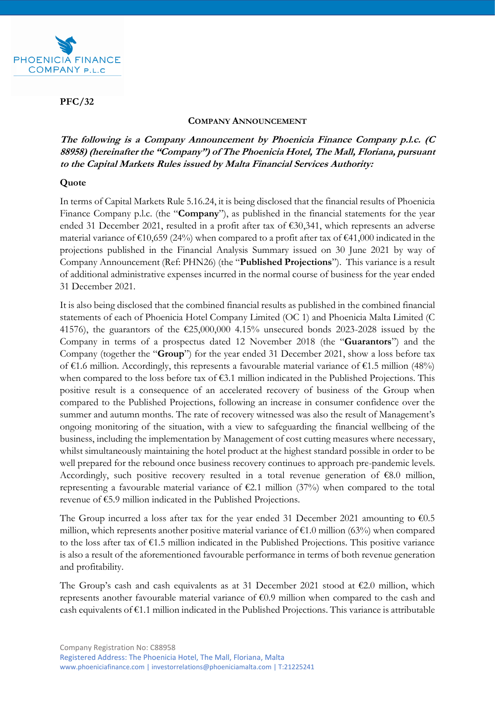

**PFC/32**

## **COMPANY ANNOUNCEMENT**

**The following is a Company Announcement by Phoenicia Finance Company p.l.c. (C 88958) (hereinafter the "Company") of The Phoenicia Hotel, The Mall, Floriana, pursuant to the Capital Markets Rules issued by Malta Financial Services Authority:** 

## **Quote**

In terms of Capital Markets Rule 5.16.24, it is being disclosed that the financial results of Phoenicia Finance Company p.l.c. (the "**Company**"), as published in the financial statements for the year ended 31 December 2021, resulted in a profit after tax of €30,341, which represents an adverse material variance of  $\text{£}10,659$  (24%) when compared to a profit after tax of  $\text{€}41,000$  indicated in the projections published in the Financial Analysis Summary issued on 30 June 2021 by way of Company Announcement (Ref: PHN26) (the "**Published Projections**"). This variance is a result of additional administrative expenses incurred in the normal course of business for the year ended 31 December 2021.

It is also being disclosed that the combined financial results as published in the combined financial statements of each of Phoenicia Hotel Company Limited (OC 1) and Phoenicia Malta Limited (C 41576), the guarantors of the  $\epsilon$ 25,000,000 4.15% unsecured bonds 2023-2028 issued by the Company in terms of a prospectus dated 12 November 2018 (the "**Guarantors**") and the Company (together the "**Group**") for the year ended 31 December 2021, show a loss before tax of €1.6 million. Accordingly, this represents a favourable material variance of €1.5 million (48%) when compared to the loss before tax of €3.1 million indicated in the Published Projections. This positive result is a consequence of an accelerated recovery of business of the Group when compared to the Published Projections, following an increase in consumer confidence over the summer and autumn months. The rate of recovery witnessed was also the result of Management's ongoing monitoring of the situation, with a view to safeguarding the financial wellbeing of the business, including the implementation by Management of cost cutting measures where necessary, whilst simultaneously maintaining the hotel product at the highest standard possible in order to be well prepared for the rebound once business recovery continues to approach pre-pandemic levels. Accordingly, such positive recovery resulted in a total revenue generation of €8.0 million, representing a favourable material variance of  $\epsilon$ 2.1 million (37%) when compared to the total revenue of €5.9 million indicated in the Published Projections.

The Group incurred a loss after tax for the year ended 31 December 2021 amounting to  $\epsilon$ 0.5 million, which represents another positive material variance of  $\epsilon$ 1.0 million (63%) when compared to the loss after tax of  $\epsilon$ 1.5 million indicated in the Published Projections. This positive variance is also a result of the aforementioned favourable performance in terms of both revenue generation and profitability.

The Group's cash and cash equivalents as at 31 December 2021 stood at  $\epsilon$ 2.0 million, which represents another favourable material variance of €0.9 million when compared to the cash and cash equivalents of €1.1 million indicated in the Published Projections. This variance is attributable